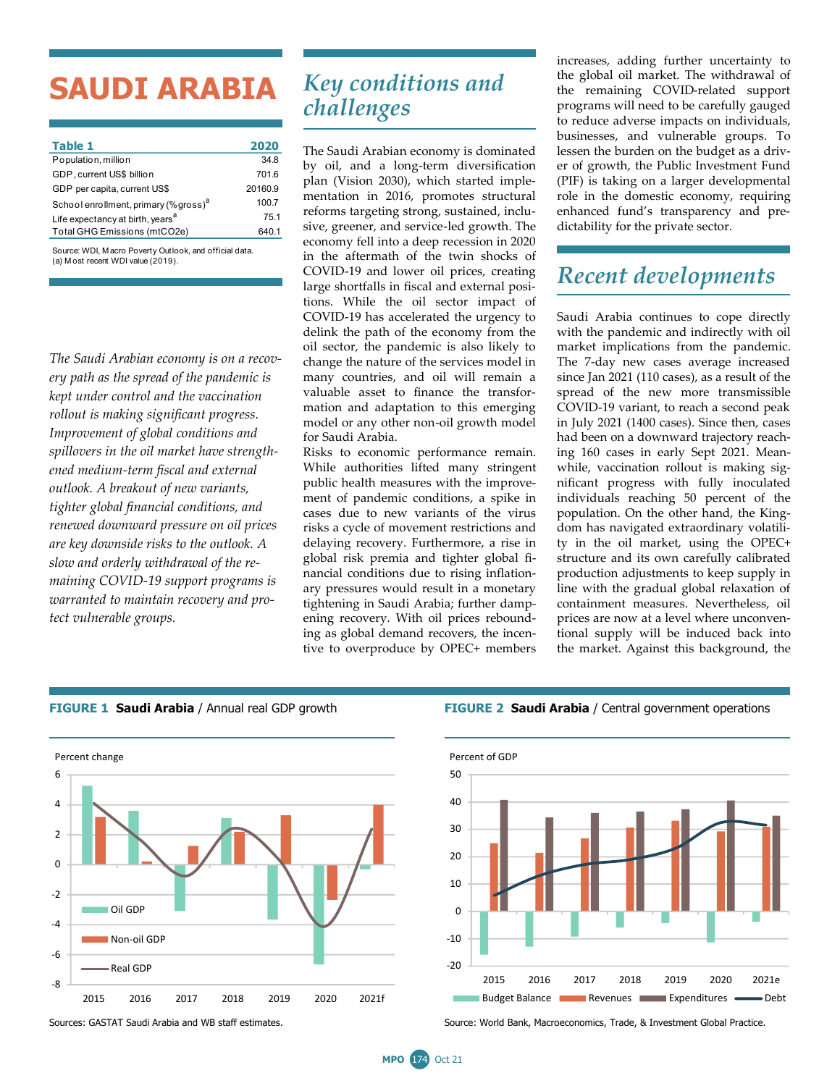# **SAUDI ARABIA**

| Table 1                                           | 2020    |
|---------------------------------------------------|---------|
| Population, million                               | 34.8    |
| GDP, current US\$ billion                         | 701.6   |
| GDP per capita, current US\$                      | 20160.9 |
| School enrollment, primary (% gross) <sup>a</sup> | 100.7   |
| Life expectancy at birth, years <sup>a</sup>      | 75.1    |
| Total GHG Emissions (mtCO2e)                      | 640.1   |
|                                                   |         |

Source: WDI, M acro Poverty Outlook, and official data. (a) M ost recent WDI value (2019).

*The Saudi Arabian economy is on a recovery path as the spread of the pandemic is kept under control and the vaccination rollout is making significant progress. Improvement of global conditions and spillovers in the oil market have strengthened medium-term fiscal and external outlook. A breakout of new variants, tighter global financial conditions, and renewed downward pressure on oil prices are key downside risks to the outlook. A slow and orderly withdrawal of the remaining COVID-19 support programs is warranted to maintain recovery and protect vulnerable groups.*

## *Key conditions and challenges*

The Saudi Arabian economy is dominated by oil, and a long-term diversification plan (Vision 2030), which started implementation in 2016, promotes structural reforms targeting strong, sustained, inclusive, greener, and service-led growth. The economy fell into a deep recession in 2020 in the aftermath of the twin shocks of COVID-19 and lower oil prices, creating large shortfalls in fiscal and external positions. While the oil sector impact of COVID-19 has accelerated the urgency to delink the path of the economy from the oil sector, the pandemic is also likely to change the nature of the services model in many countries, and oil will remain a valuable asset to finance the transformation and adaptation to this emerging model or any other non-oil growth model for Saudi Arabia.

Risks to economic performance remain. While authorities lifted many stringent public health measures with the improvement of pandemic conditions, a spike in cases due to new variants of the virus risks a cycle of movement restrictions and delaying recovery. Furthermore, a rise in global risk premia and tighter global financial conditions due to rising inflationary pressures would result in a monetary tightening in Saudi Arabia; further dampening recovery. With oil prices rebounding as global demand recovers, the incentive to overproduce by OPEC+ members

increases, adding further uncertainty to the global oil market. The withdrawal of the remaining COVID-related support programs will need to be carefully gauged to reduce adverse impacts on individuals, businesses, and vulnerable groups. To lessen the burden on the budget as a driver of growth, the Public Investment Fund (PIF) is taking on a larger developmental role in the domestic economy, requiring enhanced fund's transparency and predictability for the private sector.

### *Recent developments*

Saudi Arabia continues to cope directly with the pandemic and indirectly with oil market implications from the pandemic. The 7-day new cases average increased since Jan 2021 (110 cases), as a result of the spread of the new more transmissible COVID-19 variant, to reach a second peak in July 2021 (1400 cases). Since then, cases had been on a downward trajectory reaching 160 cases in early Sept 2021. Meanwhile, vaccination rollout is making significant progress with fully inoculated individuals reaching 50 percent of the population. On the other hand, the Kingdom has navigated extraordinary volatility in the oil market, using the OPEC+ structure and its own carefully calibrated production adjustments to keep supply in line with the gradual global relaxation of containment measures. Nevertheless, oil prices are now at a level where unconventional supply will be induced back into the market. Against this background, the





### **FIGURE 1 Saudi Arabia** / Annual real GDP growth **FIGURE 2 Saudi Arabia** / Central government operations



Sources: GASTAT Saudi Arabia and WB staff estimates. Source: World Bank, Macroeconomics, Trade, & Investment Global Practice.